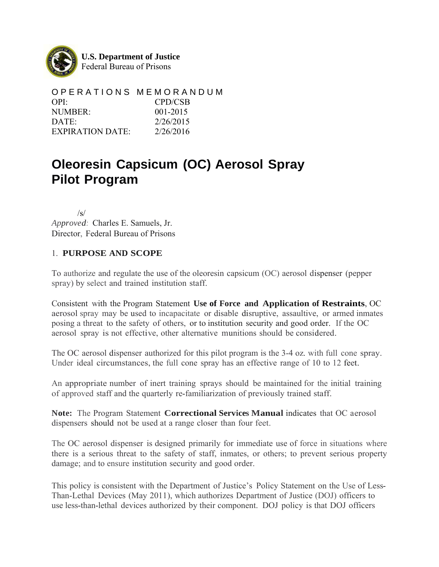

**U.S. Department of Justice**  Federal Bureau of Prisons

O P E R A T I O N S M E M O R A N D U M OPI: CPD/CSB NUMBER: 001-2015 DATE: 2/26/2015 EXPIRATION DATE: 2/26/2016

# **Oleoresin Capsicum (OC) Aerosol Spray Pilot Program**

 /s/ *Approved:* Charles E. Samuels, Jr. Director, Federal Bureau of Prisons

#### 1. **PURPOSE AND SCOPE**

To authorize and regulate the use of the oleoresin capsicum (OC) aerosol dispenser (pepper spray) by select and trained institution staff.

Consistent with the Program Statement **Use of Force and Application of Restraints**, OC aerosol spray may be used to incapacitate or disable disruptive, assaultive, or armed inmates posing a threat to the safety of others, or to institution security and good order. If the OC aerosol spray is not effective, other alternative munitions should be considered.

The OC aerosol dispenser authorized for this pilot program is the 3-4 oz. with full cone spray. Under ideal circumstances, the full cone spray has an effective range of 10 to 12 feet.

An appropriate number of inert training sprays should be maintained for the initial training of approved staff and the quarterly re-familiarization of previously trained staff.

**Note:** The Program Statement **Correctional Services Manual** indicates that OC aerosol dispensers should not be used at a range closer than four feet.

The OC aerosol dispenser is designed primarily for immediate use of force in situations where there is a serious threat to the safety of staff, inmates, or others; to prevent serious property damage; and to ensure institution security and good order.

This policy is consistent with the Department of Justice's Policy Statement on the Use of Less-Than-Lethal Devices (May 2011), which authorizes Department of Justice (DOJ) officers to use less-than-lethal devices authorized by their component. DOJ policy is that DOJ officers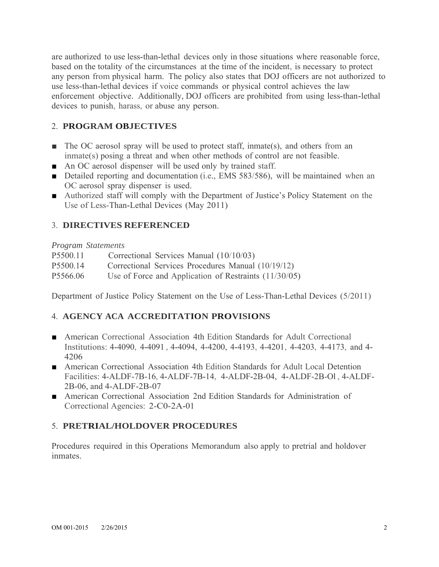are authorized to use less-than-lethal devices only in those situations where reasonable force, based on the totality of the circumstances at the time of the incident, is necessary to protect any person from physical harm. The policy also states that DOJ officers are not authorized to use less-than-lethal devices if voice commands or physical control achieves the law enforcement objective. Additionally, DOJ officers are prohibited from using less-than-lethal devices to punish, harass, or abuse any person.

## 2. **PROGRAM OBJECTIVES**

- The OC aerosol spray will be used to protect staff, inmate(s), and others from an inmate(s) posing a threat and when other methods of control are not feasible.
- An OC aerosol dispenser will be used only by trained staff.
- Detailed reporting and documentation (i.e., EMS 583/586), will be maintained when an OC aerosol spray dispenser is used.
- Authorized staff will comply with the Department of Justice's Policy Statement on the Use of Less-Than-Lethal Devices (May 2011)

#### 3. **DIRECTIVES REFERENCED**

*Program Statements*

| P <sub>5500.11</sub> | Correctional Services Manual (10/10/03)                 |
|----------------------|---------------------------------------------------------|
| P <sub>5500.14</sub> | Correctional Services Procedures Manual (10/19/12)      |
| P5566.06             | Use of Force and Application of Restraints $(11/30/05)$ |

Department of Justice Policy Statement on the Use of Less-Than-Lethal Devices (5/2011)

## 4. **AGENCY ACA ACCREDITATION PROVISIONS**

- American Correctional Association 4th Edition Standards for Adult Correctional Institutions: 4-4090, 4-4091 , 4-4094, 4-4200, 4-4193, 4-4201, 4-4203, 4-4173, and 4- 4206
- American Correctional Association 4th Edition Standards for Adult Local Detention Facilities: 4-ALDF-7B-16, 4-ALDF-7B-14, 4-ALDF-2B-04, 4-ALDF-2B-Ol , 4-ALDF-2B-06, and 4-ALDF-2B-07
- American Correctional Association 2nd Edition Standards for Administration of Correctional Agencies: 2-C0-2A-01

## 5. **PRETRIAL/HOLDOVER PROCEDURES**

Procedures required in this Operations Memorandum also apply to pretrial and holdover inmates.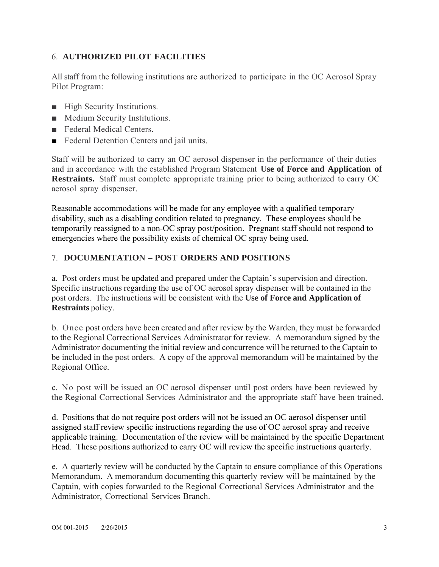### 6. **AUTHORIZED PILOT FACILITIES**

All staff from the following institutions are authorized to participate in the OC Aerosol Spray Pilot Program:

- High Security Institutions.
- Medium Security Institutions.
- Federal Medical Centers.
- Federal Detention Centers and jail units.

Staff will be authorized to carry an OC aerosol dispenser in the performance of their duties and in accordance with the established Program Statement **Use of Force and Application of Restraints.** Staff must complete appropriate training prior to being authorized to carry OC aerosol spray dispenser.

Reasonable accommodations will be made for any employee with a qualified temporary disability, such as a disabling condition related to pregnancy. These employees should be temporarily reassigned to a non-OC spray post/position. Pregnant staff should not respond to emergencies where the possibility exists of chemical OC spray being used.

#### 7. **DOCUMENTATION - POST ORDERS AND POSITIONS**

a. Post orders must be updated and prepared under the Captain's supervision and direction. Specific instructions regarding the use of OC aerosol spray dispenser will be contained in the post orders. The instructions will be consistent with the **Use of Force and Application of Restraints** policy.

b. Once post orders have been created and after review by the Warden, they must be forwarded to the Regional Correctional Services Administrator for review. A memorandum signed by the Administrator documenting the initial review and concurrence will be returned to the Captain to be included in the post orders. A copy of the approval memorandum will be maintained by the Regional Office.

c. No post will be issued an OC aerosol dispenser until post orders have been reviewed by the Regional Correctional Services Administrator and the appropriate staff have been trained.

d. Positions that do not require post orders will not be issued an OC aerosol dispenser until assigned staff review specific instructions regarding the use of OC aerosol spray and receive applicable training. Documentation of the review will be maintained by the specific Department Head. These positions authorized to carry OC will review the specific instructions quarterly.

e. A quarterly review will be conducted by the Captain to ensure compliance of this Operations Memorandum. A memorandum documenting this quarterly review will be maintained by the Captain, with copies forwarded to the Regional Correctional Services Administrator and the Administrator, Correctional Services Branch.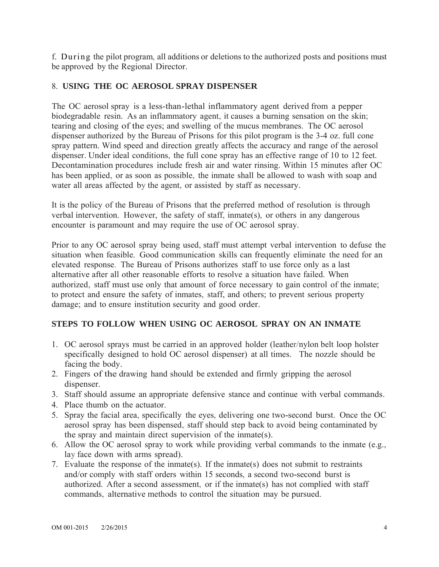f. During the pilot program, all additions or deletions to the authorized posts and positions must be approved by the Regional Director.

#### 8. **USING THE OC AEROSOL SPRAY DISPENSER**

The OC aerosol spray is a less-than-lethal inflammatory agent derived from a pepper biodegradable resin. As an inflammatory agent, it causes a burning sensation on the skin; tearing and closing of the eyes; and swelling of the mucus membranes. The OC aerosol dispenser authorized by the Bureau of Prisons for this pilot program is the 3-4 oz. full cone spray pattern. Wind speed and direction greatly affects the accuracy and range of the aerosol dispenser. Under ideal conditions, the full cone spray has an effective range of 10 to 12 feet. Decontamination procedures include fresh air and water rinsing. Within 15 minutes after OC has been applied, or as soon as possible, the inmate shall be allowed to wash with soap and water all areas affected by the agent, or assisted by staff as necessary.

It is the policy of the Bureau of Prisons that the preferred method of resolution is through verbal intervention. However, the safety of staff, inmate(s), or others in any dangerous encounter is paramount and may require the use of OC aerosol spray.

Prior to any OC aerosol spray being used, staff must attempt verbal intervention to defuse the situation when feasible. Good communication skills can frequently eliminate the need for an elevated response. The Bureau of Prisons authorizes staff to use force only as a last alternative after all other reasonable efforts to resolve a situation have failed. When authorized, staff must use only that amount of force necessary to gain control of the inmate; to protect and ensure the safety of inmates, staff, and others; to prevent serious property damage; and to ensure institution security and good order.

#### **STEPS TO FOLLOW WHEN USING OC AEROSOL SPRAY ON AN INMATE**

- 1. OC aerosol sprays must be carried in an approved holder (leather/nylon belt loop holster specifically designed to hold OC aerosol dispenser) at all times. The nozzle should be facing the body.
- 2. Fingers of the drawing hand should be extended and firmly gripping the aerosol dispenser.
- 3. Staff should assume an appropriate defensive stance and continue with verbal commands.
- 4. Place thumb on the actuator.
- 5. Spray the facial area, specifically the eyes, delivering one two-second burst. Once the OC aerosol spray has been dispensed, staff should step back to avoid being contaminated by the spray and maintain direct supervision of the inmate(s).
- 6. Allow the OC aerosol spray to work while providing verbal commands to the inmate (e.g., lay face down with arms spread).
- 7. Evaluate the response of the inmate(s). If the inmate(s) does not submit to restraints and/or comply with staff orders within 15 seconds, a second two-second burst is authorized. After a second assessment, or if the inmate(s) has not complied with staff commands, alternative methods to control the situation may be pursued.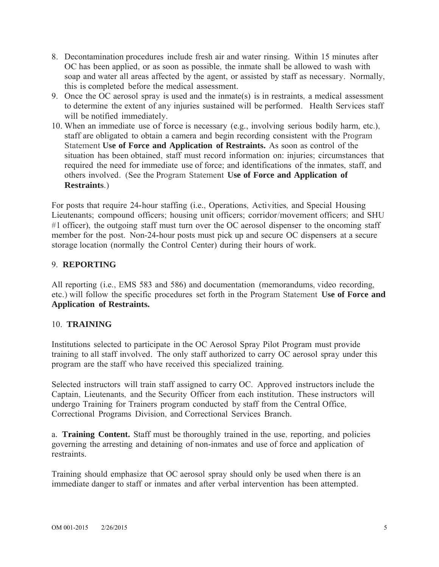- 8. Decontamination procedures include fresh air and water rinsing. Within 15 minutes after OC has been applied, or as soon as possible, the inmate shall be allowed to wash with soap and water all areas affected by the agent, or assisted by staff as necessary. Normally, this is completed before the medical assessment.
- 9. Once the OC aerosol spray is used and the inmate(s) is in restraints, a medical assessment to determine the extent of any injuries sustained will be performed. Health Services staff will be notified immediately.
- 10. When an immediate use of force is necessary (e.g., involving serious bodily harm, etc.), staff are obligated to obtain a camera and begin recording consistent with the Program Statement **Use of Force and Application of Restraints.** As soon as control of the situation has been obtained, staff must record information on: injuries; circumstances that required the need for immediate use of force; and identifications of the inmates, staff, and others involved. (See the Program Statement **Use of Force and Application of Restraints**.)

For posts that require 24-hour staffing (i.e., Operations, Activities, and Special Housing Lieutenants; compound officers; housing unit officers; corridor/movement officers; and SHU #1 officer), the outgoing staff must turn over the OC aerosol dispenser to the oncoming staff member for the post. Non-24-hour posts must pick up and secure OC dispensers at a secure storage location (normally the Control Center) during their hours of work.

#### 9. **REPORTING**

All reporting (i.e., EMS 583 and 586) and documentation (memorandums, video recording, etc.) will follow the specific procedures set forth in the Program Statement **Use of Force and Application of Restraints.**

#### 10. **TRAINING**

Institutions selected to participate in the OC Aerosol Spray Pilot Program must provide training to all staff involved. The only staff authorized to carry OC aerosol spray under this program are the staff who have received this specialized training.

Selected instructors will train staff assigned to carry OC. Approved instructors include the Captain, Lieutenants, and the Security Officer from each institution. These instructors will undergo Training for Trainers program conducted by staff from the Central Office, Correctional Programs Division, and Correctional Services Branch.

a. **Training Content.** Staff must be thoroughly trained in the use, reporting, and policies governing the arresting and detaining of non-inmates and use of force and application of restraints.

Training should emphasize that OC aerosol spray should only be used when there is an immediate danger to staff or inmates and after verbal intervention has been attempted.